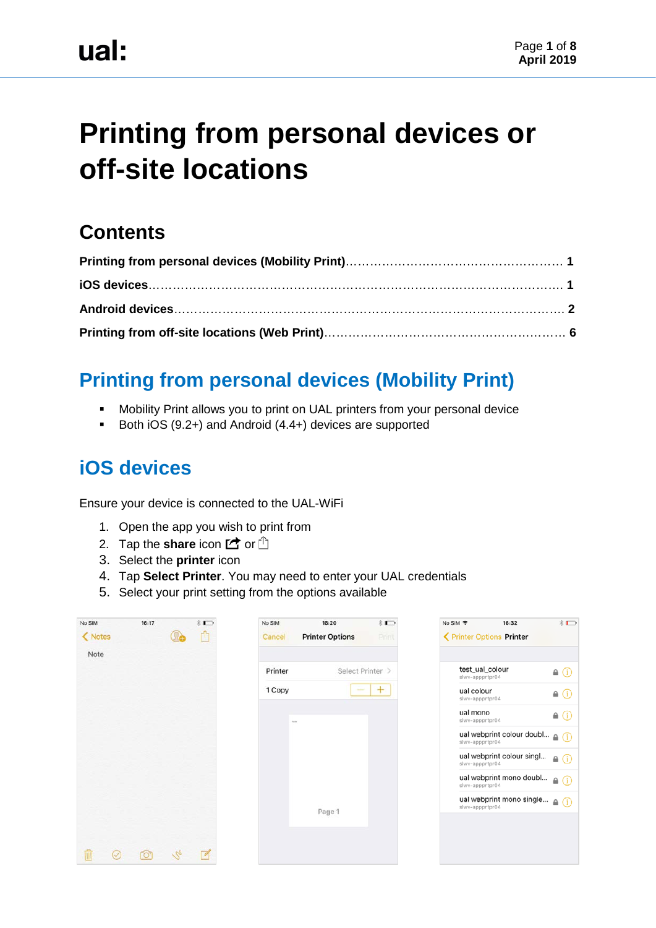# **Printing from personal devices or off-site locations**

## **Contents**

# **Printing from personal devices (Mobility Print)**

- **Mobility Print allows you to print on UAL printers from your personal device**
- Both iOS (9.2+) and Android (4.4+) devices are supported

## **iOS devices**

Ensure your device is connected to the UAL-WiFi

- 1. Open the app you wish to print from
- 2. Tap the **share** icon  $\mathbb{Z}$  or  $\mathbb{D}$
- 3. Select the **printer** icon
- 4. Tap **Select Printer**. You may need to enter your UAL credentials
- 5. Select your print setting from the options available

| No SIM  | 16:17 |                 | $*$                     | No SIM  | 16:20                  | $*$   | No SIM 宇                           | 16:32                                      | $*$                 |
|---------|-------|-----------------|-------------------------|---------|------------------------|-------|------------------------------------|--------------------------------------------|---------------------|
| < Notes |       |                 | û                       | Cancel  | <b>Printer Options</b> | Print |                                    | < Printer Options Printer                  |                     |
| Note    |       |                 |                         |         |                        |       |                                    |                                            |                     |
|         |       |                 |                         | Printer | Select Printer >       |       | test_ual_colour<br>slwv-appprtpr04 |                                            | $\triangle$ $\odot$ |
|         |       |                 |                         | 1 Copy  |                        | $+$   | ual colour<br>slwv-appprtpr04      |                                            | $\triangleq$ (i)    |
|         |       |                 |                         | during. |                        |       | ual mono<br>slwv-appprtpr04        |                                            | $\triangle$ (i)     |
|         |       |                 |                         |         |                        |       | slwv-appprtpr04                    | ual webprint colour doubl $\triangleq$ (i) |                     |
|         |       |                 |                         |         |                        |       | slwv-appprtpr04                    | ual webprint colour singl                  | $\triangle$ (i)     |
|         |       |                 |                         |         |                        |       | slwv-appprtpr04                    | ual webprint mono doubl $\triangleq$ (i)   |                     |
|         |       |                 |                         |         | Page 1                 |       | slwv-appprtpr04                    | ual webprint mono single $\triangleq$ (i)  |                     |
|         |       |                 |                         |         |                        |       |                                    |                                            |                     |
|         |       |                 |                         |         |                        |       |                                    |                                            |                     |
|         | Ō     | $\mathcal{L}_2$ | $\overline{\mathbb{Z}}$ |         |                        |       |                                    |                                            |                     |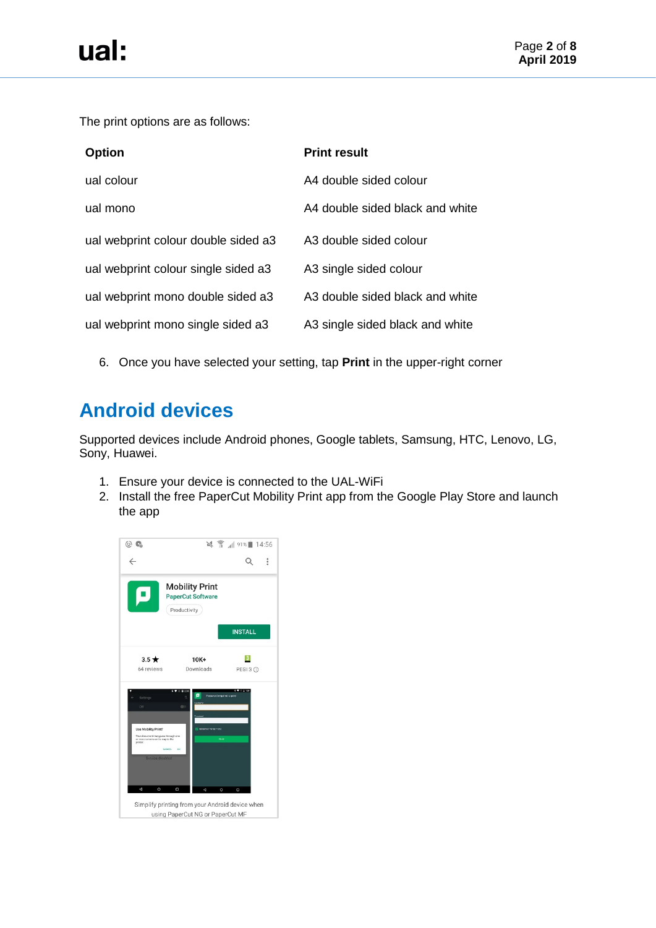<span id="page-1-0"></span>The print options are as follows:

| <b>Option</b>                       | <b>Print result</b>             |
|-------------------------------------|---------------------------------|
| ual colour                          | A4 double sided colour          |
| ual mono                            | A4 double sided black and white |
| ual webprint colour double sided a3 | A3 double sided colour          |
| ual webprint colour single sided a3 | A3 single sided colour          |
| ual webprint mono double sided a3   | A3 double sided black and white |
| ual webprint mono single sided a3   | A3 single sided black and white |

6. Once you have selected your setting, tap **Print** in the upper-right corner

# **Android devices**

Supported devices include Android phones, Google tablets, Samsung, HTC, Lenovo, LG, Sony, Huawei.

- 1. Ensure your device is connected to the UAL-WiFi
- 2. Install the free PaperCut Mobility Print app from the Google Play Store and launch the app

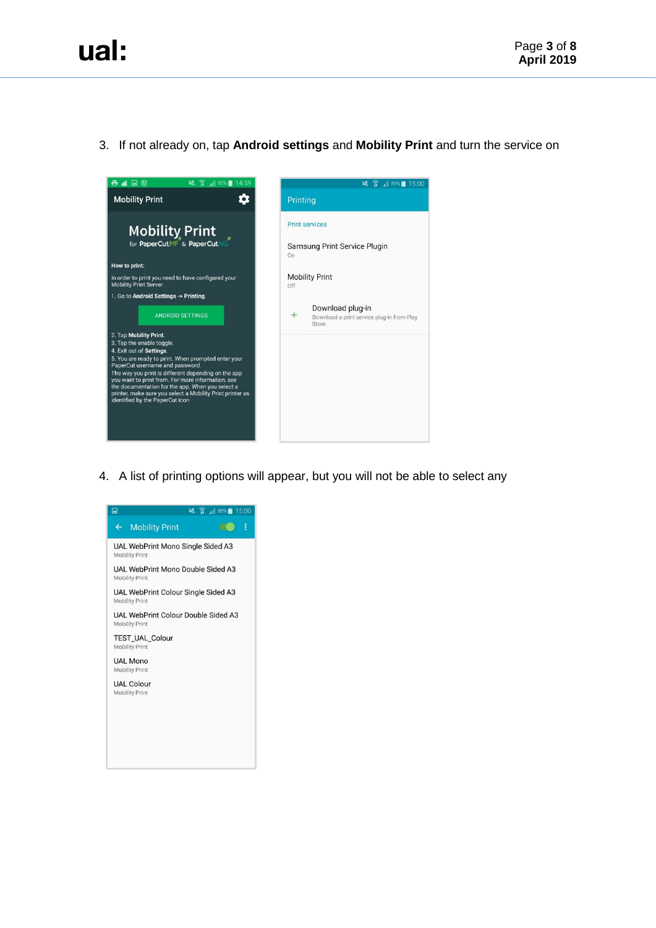### 3. If not already on, tap **Android settings** and **Mobility Print** and turn the service on



4. A list of printing options will appear, but you will not be able to select any

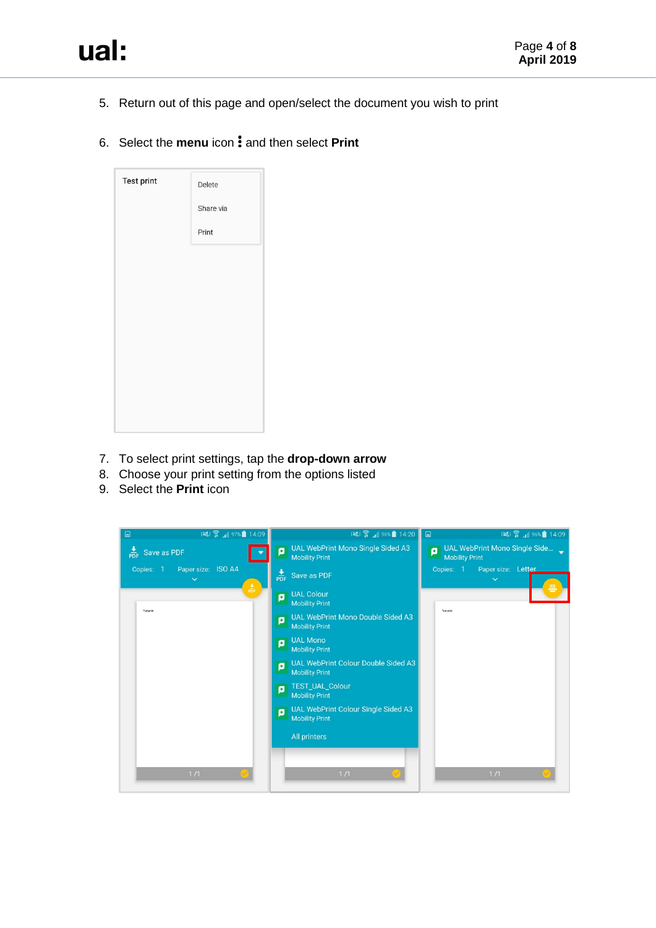5. Return out of this page and open/select the document you wish to print

## 6. Select the **menu** icon: and then select **Print**

| Test print | Delete    |
|------------|-----------|
|            | Share via |
|            | Print     |
|            |           |
|            |           |
|            |           |
|            |           |
|            |           |
|            |           |
|            |           |
|            |           |

- 7. To select print settings, tap the **drop-down arrow**
- 8. Choose your print setting from the options listed
- 9. Select the **Print** icon

| 图 14:09<br>$\Box$                               | 123 盒 196% 14:20 □                                                       | 3 14:09 14:09                                               |
|-------------------------------------------------|--------------------------------------------------------------------------|-------------------------------------------------------------|
| $\frac{1}{PDF}$<br>Save as PDF                  | UAL WebPrint Mono Single Sided A3<br>ø<br><b>Mobility Print</b>          | UAL WebPrint Mono Single Side<br>۵<br><b>Mobility Print</b> |
| Paper size: ISO A4<br>Copies: 1<br>$\checkmark$ | $\frac{1}{\text{PDF}}$ Save as PDF                                       | Paper size: Letter<br>Copies: 1<br>$\checkmark$             |
| $rac{\Phi}{PDF}$                                | <b>UAL Colour</b><br>ø<br><b>Mobility Print</b>                          |                                                             |
| <b>Test print</b>                               | UAL WebPrint Mono Double Sided A3<br>ø<br><b>Mobility Print</b>          | <b>Test print</b>                                           |
|                                                 | <b>UAL Mono</b><br>ø<br><b>Mobility Print</b>                            |                                                             |
|                                                 | <b>UAL WebPrint Colour Double Sided A3</b><br>ā<br><b>Mobility Print</b> |                                                             |
|                                                 | TEST_UAL_Colour<br>o<br><b>Mobility Print</b>                            |                                                             |
|                                                 | UAL WebPrint Colour Single Sided A3<br>ø<br><b>Mobility Print</b>        |                                                             |
|                                                 | All printers                                                             |                                                             |
|                                                 |                                                                          |                                                             |
| $1/1$                                           | $1/1$                                                                    | $1/1$                                                       |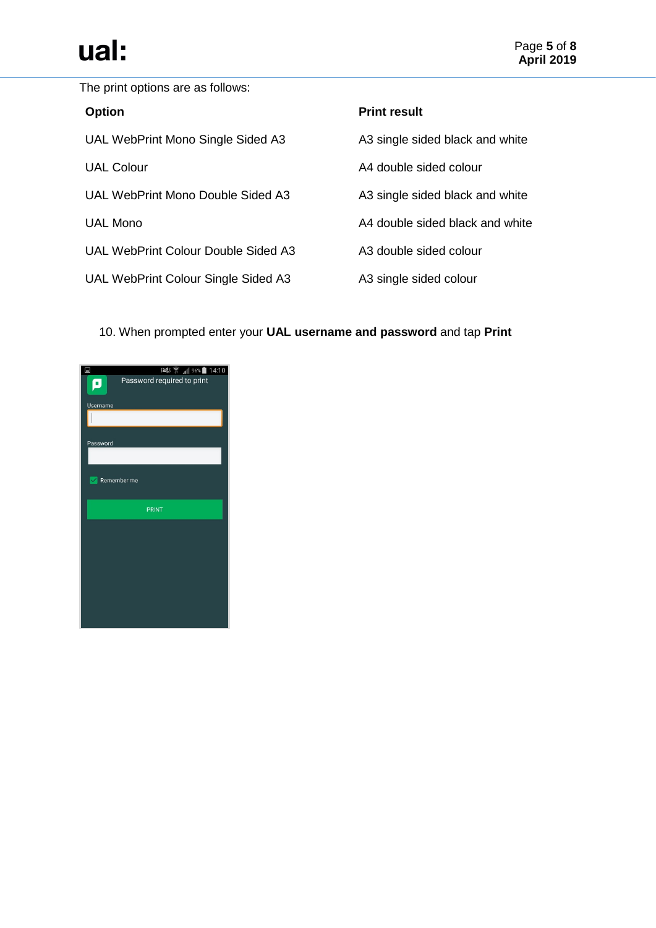# ual:

The print options are as follows:

| <b>Option</b>                       | <b>Print result</b>             |
|-------------------------------------|---------------------------------|
| UAL WebPrint Mono Single Sided A3   | A3 single sided black and white |
| <b>UAL Colour</b>                   | A4 double sided colour          |
| UAL WebPrint Mono Double Sided A3   | A3 single sided black and white |
| <b>UAL Mono</b>                     | A4 double sided black and white |
| UAL WebPrint Colour Double Sided A3 | A3 double sided colour          |
| UAL WebPrint Colour Single Sided A3 | A3 single sided colour          |

### 10. When prompted enter your **UAL username and password** and tap **Print**

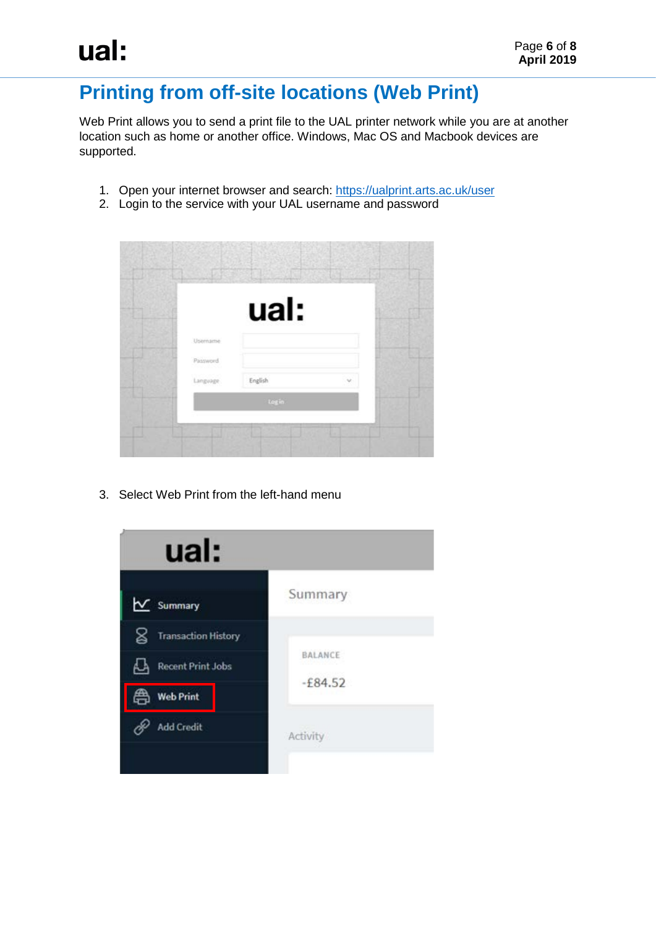# <span id="page-5-0"></span>**Printing from off-site locations (Web Print)**

Web Print allows you to send a print file to the UAL printer network while you are at another location such as home or another office. Windows, Mac OS and Macbook devices are supported.

- 1. Open your internet browser and search:<https://ualprint.arts.ac.uk/user>
- 2. Login to the service with your UAL username and password

|           | ual:    |        |  |
|-----------|---------|--------|--|
| Username  |         |        |  |
| Password. |         |        |  |
| Language  | English | $\sim$ |  |
|           | Log in  |        |  |

3. Select Web Print from the left-hand menu

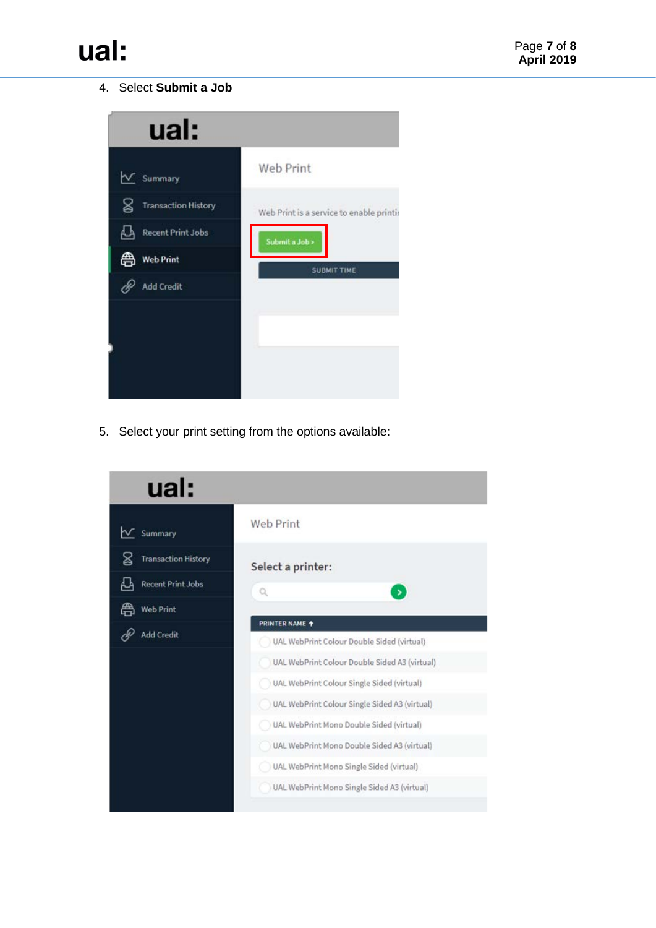#### 4. Select **Submit a Job**



5. Select your print setting from the options available: